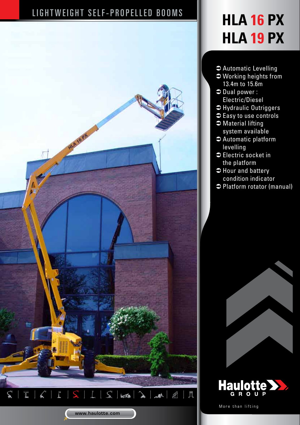## LIGHTWEIGHT SELF-PROPELLED BOOMS **HLA 16 PX**



# **HLA 19 PX**

- Â Automatic Levelling
- $\bullet$  Working heights from 13.4m to 15.6m
- $\Rightarrow$  Dual power : Electric/Diesel
- Â Hydraulic Outriggers
- $\bullet$  Easy to use controls
- $\bullet$  Material lifting system available
- $\bullet$  Automatic platform levelling
- $\bullet$  Electric socket in the platform
- $\Rightarrow$  Hour and battery condition indicator
- Â Platform rotator (manual)





More than lifting